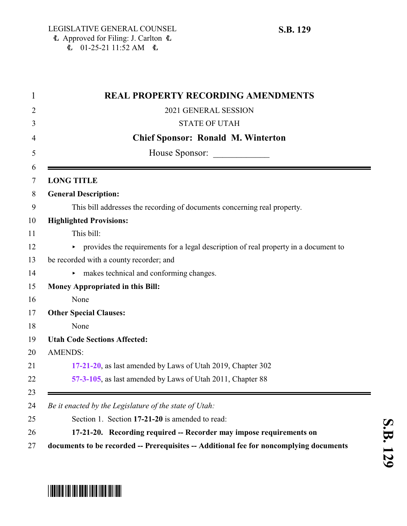$\overline{E}$  01-25-21 11:52 AM  $\overline{E}$ 

# <span id="page-0-0"></span>\* SB012012 1121 1211 1212 11212 11212 1221 1221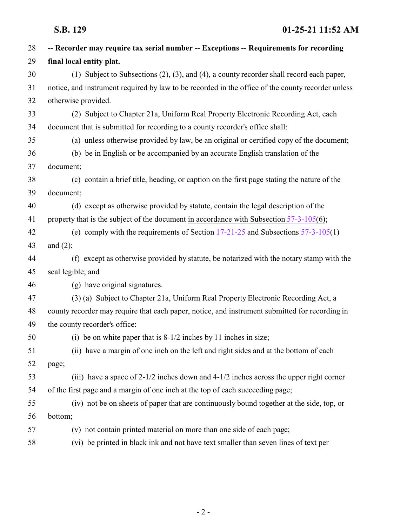| 28 | -- Recorder may require tax serial number -- Exceptions -- Requirements for recording             |
|----|---------------------------------------------------------------------------------------------------|
| 29 | final local entity plat.                                                                          |
| 30 | (1) Subject to Subsections $(2)$ , $(3)$ , and $(4)$ , a county recorder shall record each paper, |
| 31 | notice, and instrument required by law to be recorded in the office of the county recorder unless |
| 32 | otherwise provided.                                                                               |
| 33 | (2) Subject to Chapter 21a, Uniform Real Property Electronic Recording Act, each                  |
| 34 | document that is submitted for recording to a county recorder's office shall:                     |
| 35 | (a) unless otherwise provided by law, be an original or certified copy of the document;           |
| 36 | (b) be in English or be accompanied by an accurate English translation of the                     |
| 37 | document;                                                                                         |
| 38 | (c) contain a brief title, heading, or caption on the first page stating the nature of the        |
| 39 | document;                                                                                         |
| 40 | (d) except as otherwise provided by statute, contain the legal description of the                 |
| 41 | property that is the subject of the document in accordance with Subsection $57-3-105(6)$ ;        |
| 42 | (e) comply with the requirements of Section $17-21-25$ and Subsections $57-3-105(1)$              |
| 43 | and $(2)$ ;                                                                                       |
| 44 | (f) except as otherwise provided by statute, be notarized with the notary stamp with the          |
| 45 | seal legible; and                                                                                 |
| 46 | (g) have original signatures.                                                                     |
| 47 | (3) (a) Subject to Chapter 21a, Uniform Real Property Electronic Recording Act, a                 |
| 48 | county recorder may require that each paper, notice, and instrument submitted for recording in    |
| 49 | the county recorder's office:                                                                     |
| 50 | (i) be on white paper that is $8-1/2$ inches by 11 inches in size;                                |
| 51 | (ii) have a margin of one inch on the left and right sides and at the bottom of each              |
| 52 | page;                                                                                             |
| 53 | (iii) have a space of $2-1/2$ inches down and $4-1/2$ inches across the upper right corner        |
| 54 | of the first page and a margin of one inch at the top of each succeeding page;                    |
| 55 | (iv) not be on sheets of paper that are continuously bound together at the side, top, or          |
| 56 | bottom;                                                                                           |
| 57 | (v) not contain printed material on more than one side of each page;                              |
| 58 | (vi) be printed in black ink and not have text smaller than seven lines of text per               |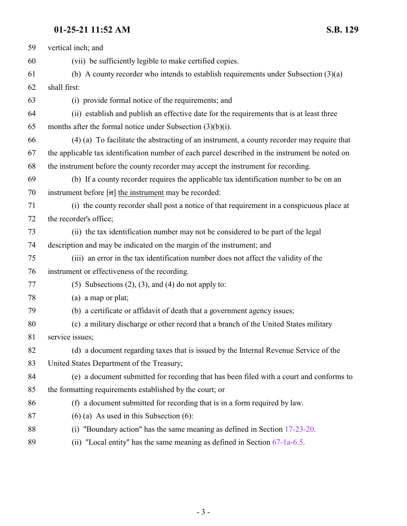## **01-25-21 11:52 AM S.B. 129**

| 59 | vertical inch; and                                                                              |
|----|-------------------------------------------------------------------------------------------------|
| 60 | (vii) be sufficiently legible to make certified copies.                                         |
| 61 | (b) A county recorder who intends to establish requirements under Subsection $(3)(a)$           |
| 62 | shall first:                                                                                    |
| 63 | (i) provide formal notice of the requirements; and                                              |
| 64 | (ii) establish and publish an effective date for the requirements that is at least three        |
| 65 | months after the formal notice under Subsection $(3)(b)(i)$ .                                   |
| 66 | (4) (a) To facilitate the abstracting of an instrument, a county recorder may require that      |
| 67 | the applicable tax identification number of each parcel described in the instrument be noted on |
| 68 | the instrument before the county recorder may accept the instrument for recording.              |
| 69 | (b) If a county recorder requires the applicable tax identification number to be on an          |
| 70 | instrument before $[\hat{t}\hat{t}]$ the instrument may be recorded:                            |
| 71 | (i) the county recorder shall post a notice of that requirement in a conspicuous place at       |
| 72 | the recorder's office;                                                                          |
| 73 | (ii) the tax identification number may not be considered to be part of the legal                |
| 74 | description and may be indicated on the margin of the instrument; and                           |
| 75 | (iii) an error in the tax identification number does not affect the validity of the             |
| 76 | instrument or effectiveness of the recording.                                                   |
| 77 | $(5)$ Subsections $(2)$ , $(3)$ , and $(4)$ do not apply to:                                    |
| 78 | (a) a map or plat;                                                                              |
| 79 | (b) a certificate or affidavit of death that a government agency issues;                        |
| 80 | (c) a military discharge or other record that a branch of the United States military            |
| 81 | service issues;                                                                                 |
| 82 | (d) a document regarding taxes that is issued by the Internal Revenue Service of the            |
| 83 | United States Department of the Treasury;                                                       |
| 84 | (e) a document submitted for recording that has been filed with a court and conforms to         |
| 85 | the formatting requirements established by the court; or                                        |
| 86 | (f) a document submitted for recording that is in a form required by law.                       |
| 87 | $(6)$ (a) As used in this Subsection $(6)$ :                                                    |
| 88 | (i) "Boundary action" has the same meaning as defined in Section $17-23-20$ .                   |
|    |                                                                                                 |

89 (ii) "Local entity" has the same meaning as defined in Section [67-1a-6.5](http://le.utah.gov/UtahCode/SectionLookup.jsp?section=67-1a-6.5&session=2021GS).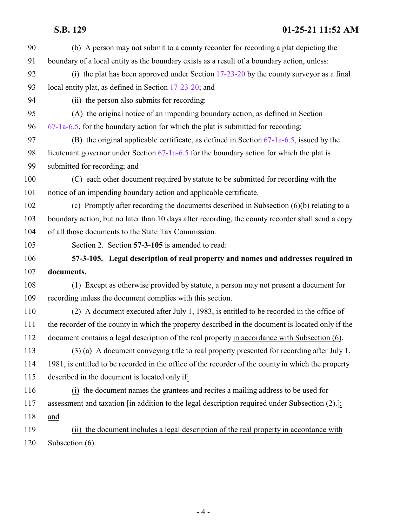## **S.B. 129 01-25-21 11:52 AM**

<span id="page-3-0"></span>

| 90  | (b) A person may not submit to a county recorder for recording a plat depicting the                |
|-----|----------------------------------------------------------------------------------------------------|
| 91  | boundary of a local entity as the boundary exists as a result of a boundary action, unless:        |
| 92  | (i) the plat has been approved under Section $17-23-20$ by the county surveyor as a final          |
| 93  | local entity plat, as defined in Section 17-23-20; and                                             |
| 94  | (ii) the person also submits for recording:                                                        |
| 95  | (A) the original notice of an impending boundary action, as defined in Section                     |
| 96  | $67-1a-6.5$ , for the boundary action for which the plat is submitted for recording;               |
| 97  | (B) the original applicable certificate, as defined in Section $67-1a-6.5$ , issued by the         |
| 98  | lieutenant governor under Section 67-1a-6.5 for the boundary action for which the plat is          |
| 99  | submitted for recording; and                                                                       |
| 100 | (C) each other document required by statute to be submitted for recording with the                 |
| 101 | notice of an impending boundary action and applicable certificate.                                 |
| 102 | (c) Promptly after recording the documents described in Subsection $(6)(b)$ relating to a          |
| 103 | boundary action, but no later than 10 days after recording, the county recorder shall send a copy  |
| 104 | of all those documents to the State Tax Commission.                                                |
| 105 | Section 2. Section 57-3-105 is amended to read:                                                    |
| 106 | 57-3-105. Legal description of real property and names and addresses required in                   |
| 107 | documents.                                                                                         |
| 108 | (1) Except as otherwise provided by statute, a person may not present a document for               |
| 109 | recording unless the document complies with this section.                                          |
| 110 | (2) A document executed after July 1, 1983, is entitled to be recorded in the office of            |
| 111 | the recorder of the county in which the property described in the document is located only if the  |
| 112 | document contains a legal description of the real property in accordance with Subsection (6).      |
| 113 | (3) (a) A document conveying title to real property presented for recording after July 1,          |
| 114 | 1981, is entitled to be recorded in the office of the recorder of the county in which the property |
| 115 | described in the document is located only if:                                                      |
| 116 | (i) the document names the grantees and recites a mailing address to be used for                   |
| 117 | assessment and taxation [in addition to the legal description required under Subsection (2).];     |
| 118 | and                                                                                                |
| 119 | (ii) the document includes a legal description of the real property in accordance with             |
| 120 | Subsection (6).                                                                                    |